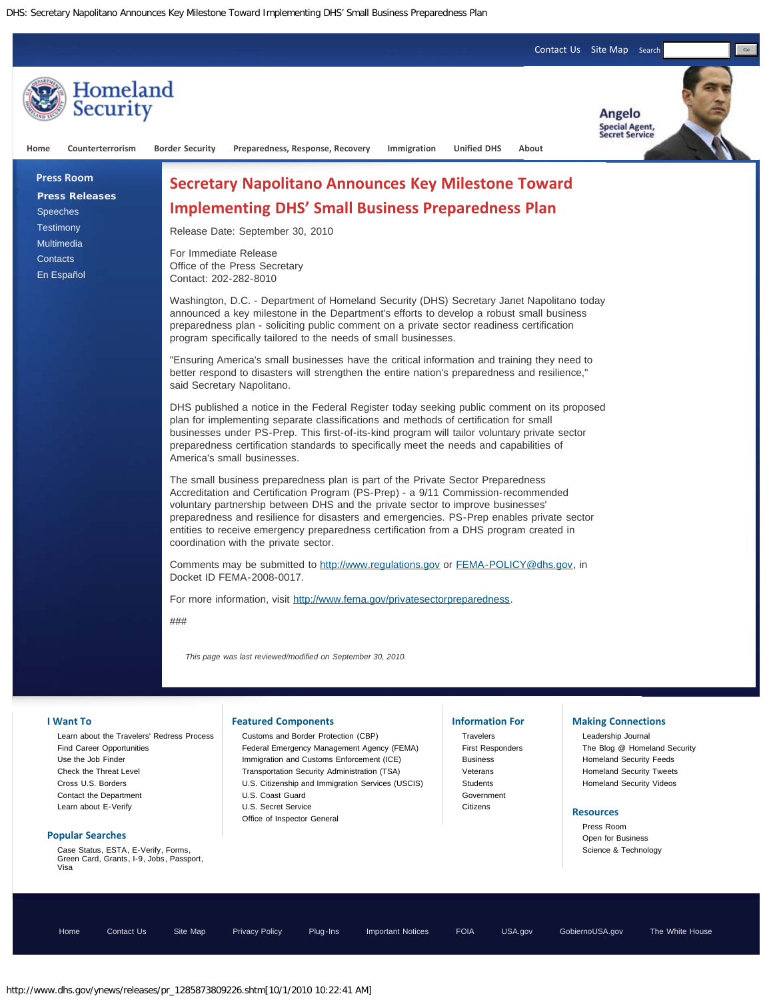[Contact Us](http://www.dhs.gov/xutil/contactus.shtm) [Site Map](http://www.dhs.gov/xutil/sitemap.shtm) Search

Go